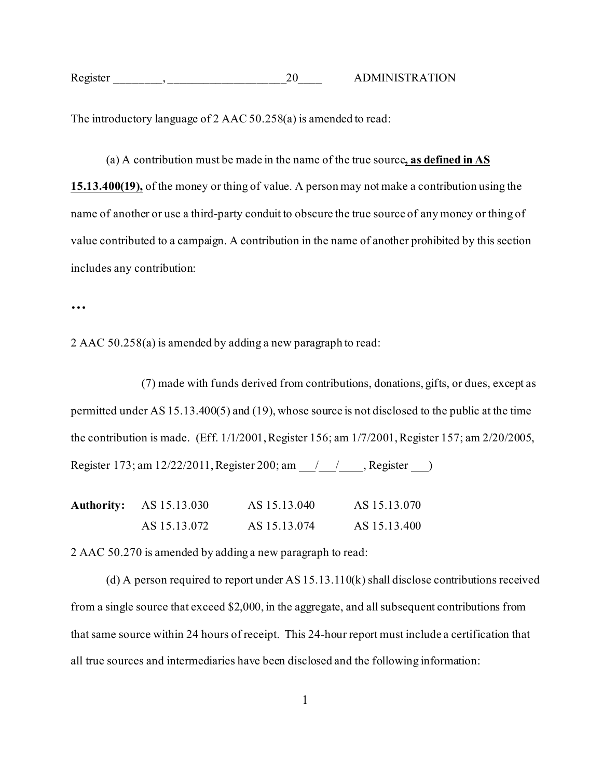| Register | <b>ATION</b><br><b>DMINISTR</b> |
|----------|---------------------------------|
|          |                                 |

The introductory language of 2 AAC 50.258(a) is amended to read:

(a) A contribution must be made in the name of the true source**, as defined in AS 15.13.400(19),** of the money or thing of value. A person may not make a contribution using the name of another or use a third-party conduit to obscure the true source of any money or thing of value contributed to a campaign. A contribution in the name of another prohibited by this section includes any contribution:

**…**

2 AAC 50.258(a) is amended by adding a new paragraph to read:

(7) made with funds derived from contributions, donations, gifts, or dues, except as permitted under AS 15.13.400(5) and (19), whose source is not disclosed to the public at the time the contribution is made. (Eff. 1/1/2001, Register 156; am 1/7/2001, Register 157; am 2/20/2005, Register 173; am 12/22/2011, Register 200; am / / , Register )

| <b>Authority:</b> AS 15.13.030 | AS 15.13.040 | AS 15.13.070 |
|--------------------------------|--------------|--------------|
| AS 15.13.072                   | AS 15.13.074 | AS 15.13.400 |

2 AAC 50.270 is amended by adding a new paragraph to read:

(d) A person required to report under AS 15.13.110(k) shall disclose contributions received from a single source that exceed \$2,000, in the aggregate, and all subsequent contributions from that same source within 24 hours of receipt. This 24-hour report must include a certification that all true sources and intermediaries have been disclosed and the following information: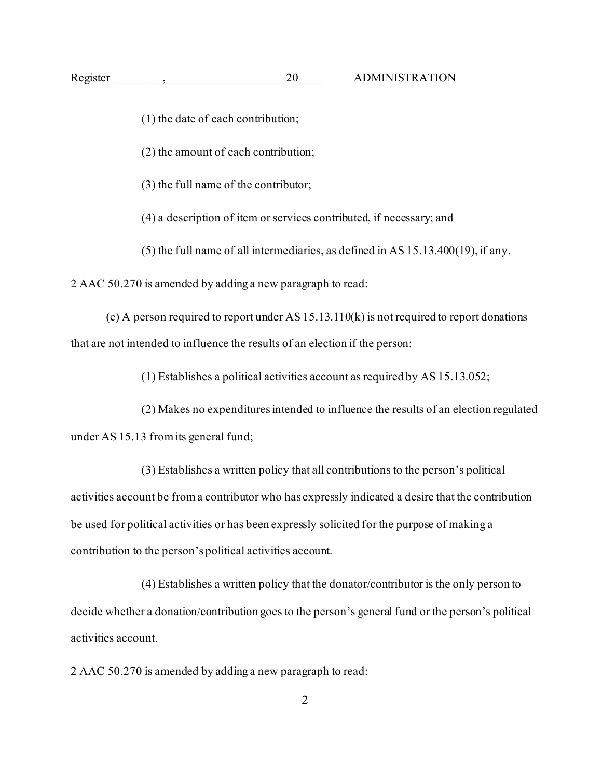- (1) the date of each contribution;
- (2) the amount of each contribution;
- (3) the full name of the contributor;
- (4) a description of item or services contributed, if necessary; and
- (5) the full name of all intermediaries, as defined in AS 15.13.400(19), if any.

2 AAC 50.270 is amended by adding a new paragraph to read:

(e) A person required to report under AS 15.13.110(k) is not required to report donations that are not intended to influence the results of an election if the person:

(1) Establishes a political activities account as required by AS 15.13.052;

(2) Makes no expenditures intended to influence the results of an election regulated under AS 15.13 from its general fund;

(3) Establishes a written policy that all contributions to the person's political activities account be from a contributor who has expressly indicated a desire that the contribution be used for political activities or has been expressly solicited for the purpose of making a contribution to the person's political activities account.

(4) Establishes a written policy that the donator/contributor is the only person to decide whether a donation/contribution goes to the person's general fund or the person's political activities account.

2 AAC 50.270 is amended by adding a new paragraph to read: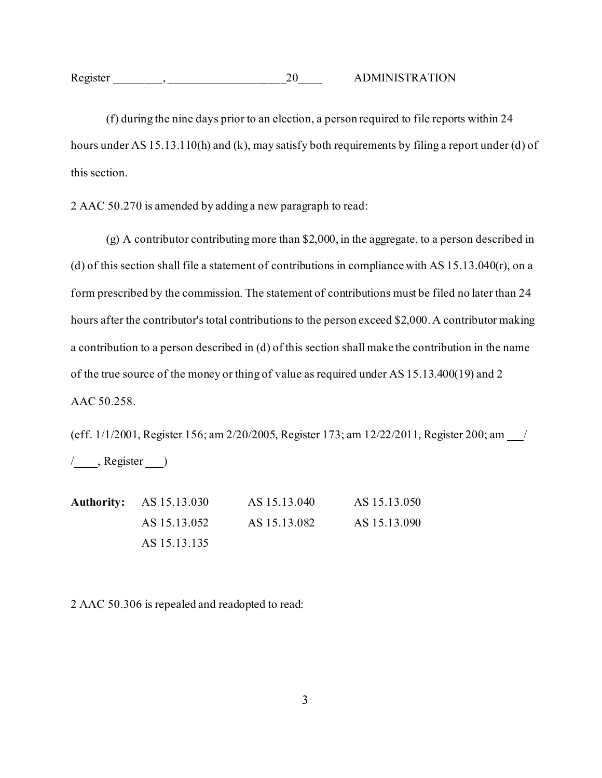| Register |  | ADMINISTRATION |
|----------|--|----------------|
|          |  |                |

(f) during the nine days prior to an election, a person required to file reports within 24 hours under AS 15.13.110(h) and (k), may satisfy both requirements by filing a report under (d) of this section.

2 AAC 50.270 is amended by adding a new paragraph to read:

(g) A contributor contributing more than \$2,000, in the aggregate, to a person described in (d) of this section shall file a statement of contributions in compliance with [AS 15.13.040](http://www.legis.state.ak.us/basis/folioproxy.asp?url=http://wwwjnu01.legis.state.ak.us/cgi-bin/folioisa.dll/stattx14/query=%5bJUMP:%27AS1513040%27%5d/doc/%7b@1%7d?firsthit)(r), on a form prescribed by the commission. The statement of contributions must be filed no later than 24 hours after the contributor's total contributions to the person exceed \$2,000. A contributor making a contribution to a person described in (d) of this section shall make the contribution in the name of the true source of the money or thing of value as required under AS 15.13.400(19) and 2 AAC [50.258.](http://www.legis.state.ak.us/basis/folioproxy.asp?url=http://wwwjnu01.legis.state.ak.us/cgi-bin/folioisa.dll/aac/query=%5bJUMP:%272+aac+50!2E258%27%5d/doc/%7b@1%7d?firsthit)

(eff. 1/1/2001, Register 156; am 2/20/2005, Register 173; am 12/22/2011, Register 200; am \_/  $/$ , Register  $)$ 

**Authority:** AS 15.13.030 AS 15.13.040 AS 15.13.050 AS 15.13.052 AS 15.13.082 AS 15.13.090 AS 15.13.135

2 AAC 50.306 is repealed and readopted to read: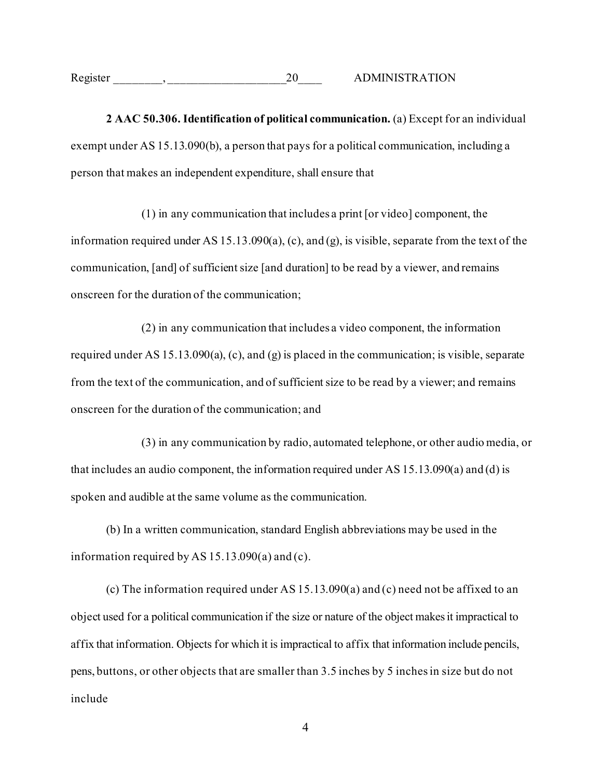| Register | <b>ADMINISTRATION</b> |
|----------|-----------------------|
|          |                       |

**2 AAC 50.306. Identification of political communication.** (a) Except for an individual exempt under AS 15.13.090(b), a person that pays for a political communication, including a person that makes an independent expenditure, shall ensure that

(1) in any communication that includes a print [or video] component, the information required under AS 15.13.090(a), (c), and (g), is visible, separate from the text of the communication, [and] of sufficient size [and duration] to be read by a viewer, and remains onscreen for the duration of the communication;

(2) in any communication that includes a video component, the information required under AS 15.13.090(a), (c), and (g) is placed in the communication; is visible, separate from the text of the communication, and of sufficient size to be read by a viewer; and remains onscreen for the duration of the communication; and

(3) in any communication by radio, automated telephone, or other audio media, or that includes an audio component, the information required under AS 15.13.090(a) and (d) is spoken and audible at the same volume as the communication.

(b) In a written communication, standard English abbreviations may be used in the information required by AS 15.13.090(a) and (c).

(c) The information required under AS 15.13.090(a) and (c) need not be affixed to an object used for a political communication if the size or nature of the object makesit impractical to affix that information. Objects for which it is impractical to affix that information include pencils, pens, buttons, or other objects that are smaller than 3.5 inches by 5 inches in size but do not include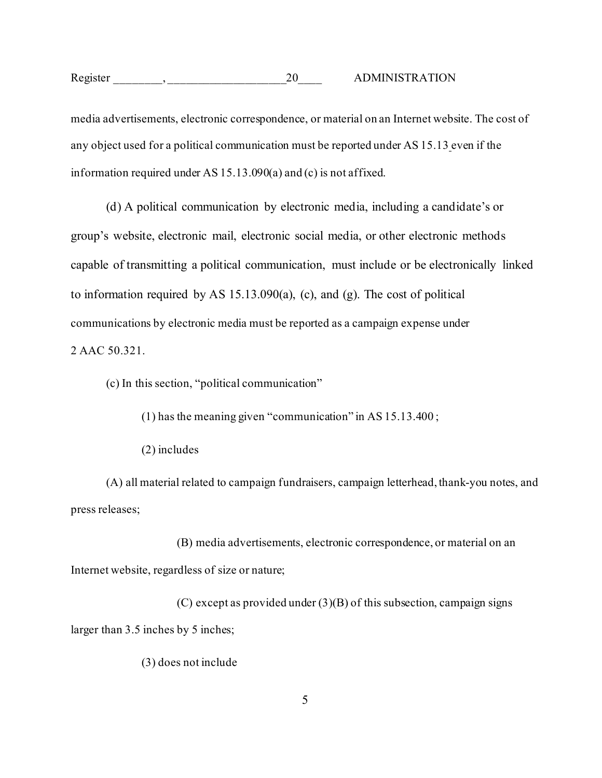media advertisements, electronic correspondence, or material on an Internet website. The cost of any object used for a political communication must be reported under AS 15.13 even if the information required under AS 15.13.090(a) and (c) is not affixed.

(d) A political communication by electronic media, including a candidate's or group's website, electronic mail, electronic social media, or other electronic methods capable of transmitting a political communication, must include or be electronically linked to information required by AS 15.13.090(a), (c), and (g). The cost of political communications by electronic media must be reported as a campaign expense under 2 AAC 50.321.

(c) In this section, "political communication"

(1) has the meaning given "communication" in AS 15.13.400 ;

(2) includes

(A) all material related to campaign fundraisers, campaign letterhead, thank-you notes, and press releases;

(B) media advertisements, electronic correspondence, or material on an Internet website, regardless of size or nature;

(C) except as provided under  $(3)(B)$  of this subsection, campaign signs larger than 3.5 inches by 5 inches;

(3) does not include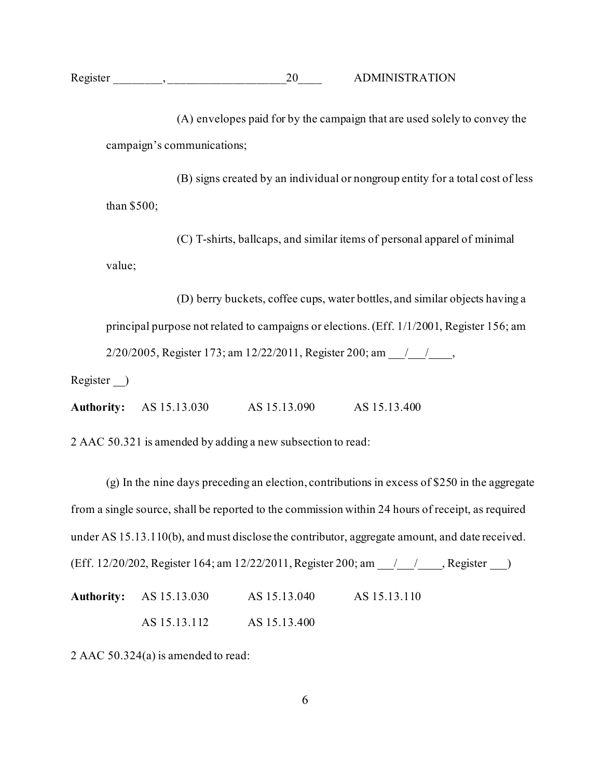(A) envelopes paid for by the campaign that are used solely to convey the campaign's communications;

(B) signs created by an individual or nongroup entity for a total cost of less than \$500;

(C) T-shirts, ballcaps, and similar items of personal apparel of minimal value;

(D) berry buckets, coffee cups, water bottles, and similar objects having a principal purpose not related to campaigns or elections.(Eff. 1/1/2001, Register 156; am 2/20/2005, Register 173; am 12/22/2011, Register 200; am \_\_\_\_\_\_\_\_\_\_\_\_\_\_\_\_\_\_\_\_\_\_\_\_

Register )

**Authority:** AS 15.13.030 AS 15.13.090 AS 15.13.400

2 AAC 50.321 is amended by adding a new subsection to read:

(g) In the nine days preceding an election, contributions in excess of \$250 in the aggregate from a single source, shall be reported to the commission within 24 hours of receipt, as required unde[r AS 15.13.110\(b\),](http://www.akleg.gov/basis/statutes.asp#15.13.110) and must disclose the contributor, aggregate amount, and date received. (Eff. 12/20/202, Register 164; am 12/22/2011, Register 200; am  $\frac{1}{\sqrt{2}}$ , Register  $\frac{1}{\sqrt{2}}$ 

**Authority:** AS 15.13.030 AS 15.13.040 AS 15.13.110 AS 15.13.112 AS 15.13.400

2 AAC 50.324(a) is amended to read: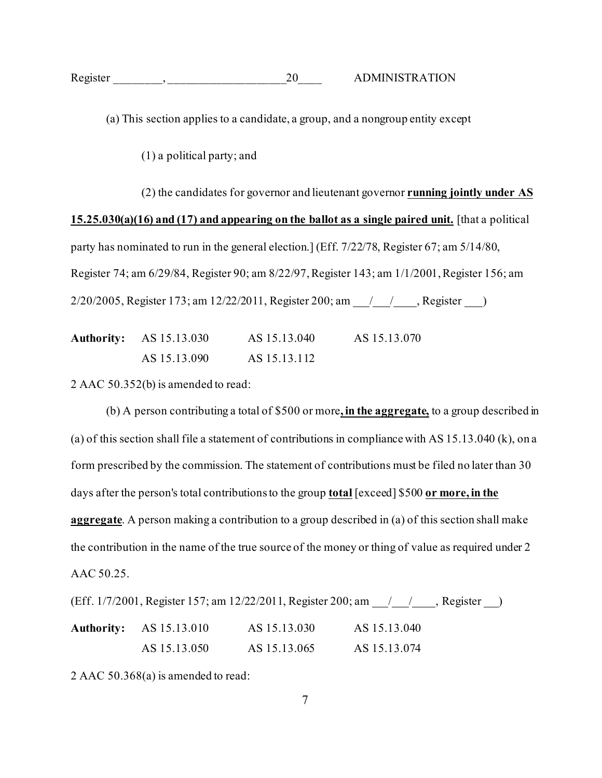| Register |  | ADMINISTRATION |  |
|----------|--|----------------|--|
|          |  |                |  |

(a) This section applies to a candidate, a group, and a nongroup entity except

(1) a political party; and

(2) the candidates for governor and lieutenant governor **running jointly under AS 15.25.030(a)(16) and (17) and appearing on the ballot as a single paired unit.** [that a political party has nominated to run in the general election.] (Eff. 7/22/78, Register 67; am 5/14/80, Register 74; am 6/29/84, Register 90; am 8/22/97, Register 143; am 1/1/2001, Register 156; am 2/20/2005, Register 173; am 12/22/2011, Register 200; am / / , Register )

| <b>Authority:</b> AS 15.13.030 | AS 15.13.040 | AS 15.13.070 |
|--------------------------------|--------------|--------------|
| AS 15.13.090                   | AS 15.13.112 |              |

2 AAC 50.352(b) is amended to read:

(b) A person contributing a total of \$500 or more**, in the aggregate,** to a group described in (a) of this section shall file a statement of contributions in compliance with AS 15.13.040 (k), on a form prescribed by the commission. The statement of contributions must be filed no later than 30 days after the person's total contributions to the group **total** [exceed] \$500 **or more, in the aggregate**. A person making a contribution to a group described in (a) of this section shall make the contribution in the name of the true source of the money or thing of value as required under 2 AAC 50.25.

|                                | (Eff. 1/7/2001, Register 157; am 12/22/2011, Register 200; am 1/1/2001, Register 157; |              |  |
|--------------------------------|---------------------------------------------------------------------------------------|--------------|--|
| <b>Authority:</b> AS 15.13.010 | AS 15.13.030                                                                          | AS 15.13.040 |  |
| AS 15.13.050                   | AS 15.13.065                                                                          | AS 15.13.074 |  |

2 AAC 50.368(a) is amended to read: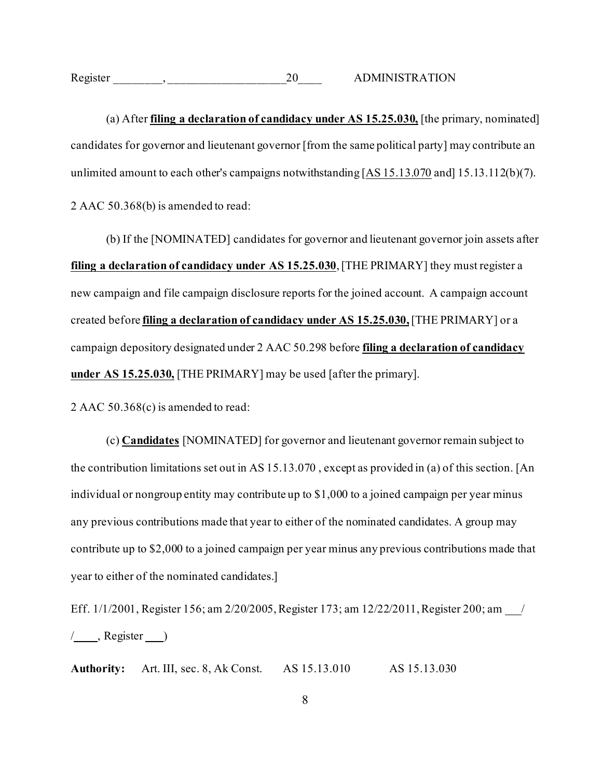Register  $\qquad \qquad , \qquad \qquad$  20 ADMINISTRATION

(a) After **filing a declaration of candidacy under AS 15.25.030,** [the primary, nominated] candidates for governor and lieutenant governor [from the same political party] may contribute an unlimited amount to each other's campaigns notwithstanding [AS 15.13.070 and] 15.13.112(b)(7). 2 AAC 50.368(b) is amended to read:

(b) If the [NOMINATED] candidates for governor and lieutenant governor join assets after **filing a declaration of candidacy under AS 15.25.030**,[THE PRIMARY] they must register a new campaign and file campaign disclosure reports for the joined account. A campaign account created before **filing a declaration of candidacy under AS 15.25.030,**[THE PRIMARY] or a campaign depository designated under 2 AAC 50.298 before **filing a declaration of candidacy under AS 15.25.030,** [THE PRIMARY] may be used [after the primary].

2 AAC 50.368(c) is amended to read:

(c) **Candidates** [NOMINATED] for governor and lieutenant governor remain subject to the contribution limitations set out in AS 15.13.070 , except as provided in (a) of this section. [An individual or nongroup entity may contribute up to \$1,000 to a joined campaign per year minus any previous contributions made that year to either of the nominated candidates. A group may contribute up to \$2,000 to a joined campaign per year minus any previous contributions made that year to either of the nominated candidates.]

Eff. 1/1/2001, Register 156; am 2/20/2005, Register 173; am 12/22/2011, Register 200; am /  $/$ , Register  $)$ 

**Authority:** Art. III, sec. 8, Ak Const. AS 15.13.010 AS 15.13.030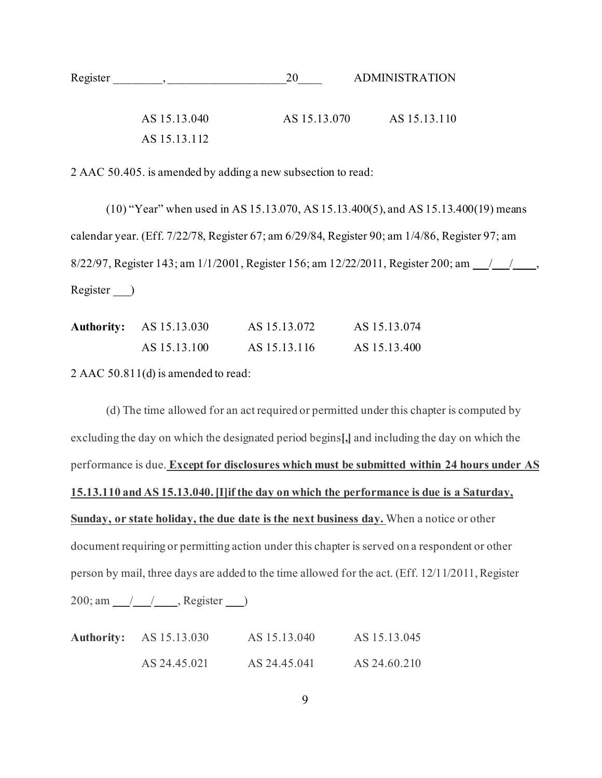| Register |              |              | <b>ADMINISTRATION</b> |
|----------|--------------|--------------|-----------------------|
|          | AS 15.13.040 | AS 15.13.070 | AS 15.13.110          |
|          | AS 15.13.112 |              |                       |

2 AAC 50.405. is amended by adding a new subsection to read:

(10) "Year" when used in AS 15.13.070, AS 15.13.400(5), and AS 15.13.400(19) means calendar year. (Eff. 7/22/78, Register 67; am 6/29/84, Register 90; am 1/4/86, Register 97; am 8/22/97, Register 143; am 1/1/2001, Register 156; am 12/22/2011, Register 200; am 1/1/2001, Register )

| <b>Authority:</b> AS 15.13.030 | AS 15.13.072 | AS 15.13.074 |
|--------------------------------|--------------|--------------|
| AS 15.13.100                   | AS 15.13.116 | AS 15.13.400 |

2 AAC 50.811(d) is amended to read:

(d) The time allowed for an act required or permitted under this chapter is computed by excluding the day on which the designated period begins**[,]** and including the day on which the performance is due. **Except for disclosures which must be submitted within 24 hours under AS 15.13.110 and AS 15.13.040. [I]if the day on which the performance is due is a Saturday, Sunday, or state holiday, the due date is the next business day.** When a notice or other document requiring or permitting action under this chapter is served on a respondent or other person by mail, three days are added to the time allowed for the act. (Eff. 12/11/2011, Register 200; am /// , Register )

| <b>Authority:</b> AS 15.13.030 | AS 15.13.040 | AS 15.13.045 |
|--------------------------------|--------------|--------------|
| AS 24.45.021                   | AS 24.45.041 | AS 24.60.210 |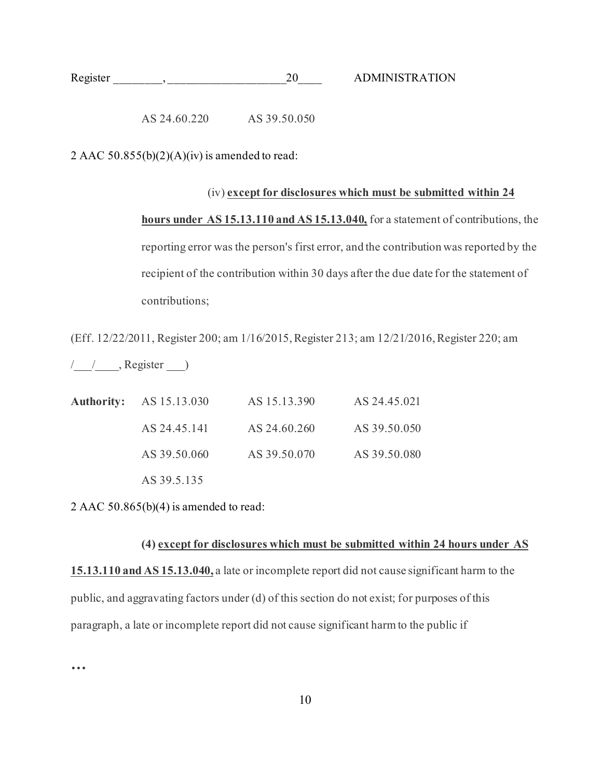| Register |  | A DMINISTRATION |
|----------|--|-----------------|
|          |  |                 |

AS 24.60.220 AS 39.50.050

2 AAC 50.855(b)(2)(A)(iv) is amended to read:

(iv) **except for disclosures which must be submitted within 24 hours under AS 15.13.110 and AS 15.13.040,** for a statement of contributions, the reporting error was the person's first error, and the contribution was reported by the recipient of the contribution within 30 days after the due date for the statement of contributions;

(Eff. 12/22/2011, Register 200; am 1/16/2015, Register 213; am 12/21/2016, Register 220; am

 $\left\langle \underline{\hspace{1cm}}\right\rangle$  , Register  $\underline{\hspace{1cm}}$ 

| <b>Authority:</b> AS 15.13.030 | AS 15.13.390 | AS 24.45.021 |
|--------------------------------|--------------|--------------|
| AS 24.45.141                   | AS 24.60.260 | AS 39.50.050 |
| AS 39.50.060                   | AS 39.50.070 | AS 39.50.080 |
| AS 39.5.135                    |              |              |

2 AAC  $50.865(b)(4)$  is amended to read:

## **(4) except for disclosures which must be submitted within 24 hours under AS**

**15.13.110 and AS 15.13.040,** a late or incomplete report did not cause significant harm to the public, and aggravating factors under (d) of this section do not exist; for purposes of this paragraph, a late or incomplete report did not cause significant harm to the public if

**…**